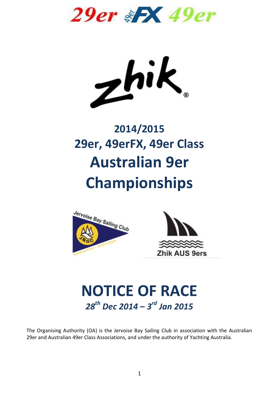**29er & X 49er** 

 $z^{\text{hi}}$ 

# **2014/2015 29er, 49erFX, 49er Class Australian 9er Championships**





# **NOTICE OF RACE** *28th Dec 2014 – 3 rd Jan 2015*

The Organising Authority (OA) is the Jervoise Bay Sailing Club in association with the Australian 29er and Australian 49er Class Associations, and under the authority of Yachting Australia.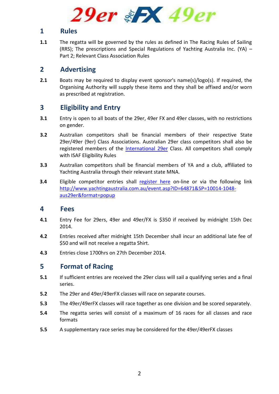

#### **1 Rules**

**1.1** The regatta will be governed by the rules as defined in The Racing Rules of Sailing (RRS); The prescriptions and Special Regulations of Yachting Australia Inc. (YA) – Part 2; Relevant Class Association Rules

## **2 Advertising**

**2.1** Boats may be required to display event sponsor's name(s)/logo(s). If required, the Organising Authority will supply these items and they shall be affixed and/or worn as prescribed at registration.

# **3 Eligibility and Entry**

- **3.1** Entry is open to all boats of the 29er, 49er FX and 49er classes, with no restrictions on gender.
- **3.2** Australian competitors shall be financial members of their respective State 29er/49er (9er) Class Associations. Australian 29er class competitors shall also be registered members of the [International 29er](http://www.regattanetwork.com/membermgmt29er/membership_registration_start.php) Class. All competitors shall comply with ISAF Eligibility Rules
- **3.3** Australian competitors shall be financial members of YA and a club, affiliated to Yachting Australia through their relevant state MNA.
- **3.4** Eligible competitor entries shall [register here](http://www.yachtingaustralia.com.au/event.asp?ID=64871&SP=10014-1048-aus29er&format=popup) on-line or via the following link [http://www.yachtingaustralia.com.au/event.asp?ID=64871&SP=10014-1048](http://www.yachtingaustralia.com.au/event.asp?ID=64871&SP=10014-1048-aus29er&format=popup) [aus29er&format=popup](http://www.yachtingaustralia.com.au/event.asp?ID=64871&SP=10014-1048-aus29er&format=popup)

#### **4 Fees**

- **4.1** Entry Fee for 29ers, 49er and 49er/FX is \$350 if received by midnight 15th Dec 2014.
- **4.2** Entries received after midnight 15th December shall incur an additional late fee of \$50 and will not receive a regatta Shirt.
- **4.3** Entries close 1700hrs on 27th December 2014.

# **5 Format of Racing**

- **5.1** If sufficient entries are received the 29er class will sail a qualifying series and a final series.
- **5.2** The 29er and 49er/49erFX classes will race on separate courses.
- **5.3** The 49er/49erFX classes will race together as one division and be scored separately.
- **5.4** The regatta series will consist of a maximum of 16 races for all classes and race formats
- **5.5** A supplementary race series may be considered for the 49er/49erFX classes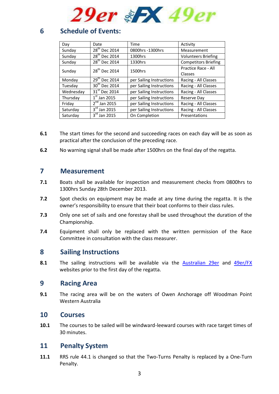

# **6 Schedule of Events:**

| Day       | Date                      | Time                     | Activity                    |
|-----------|---------------------------|--------------------------|-----------------------------|
| Sunday    | 28 <sup>th</sup> Dec 2014 | 0800hrs -1300hrs         | Measurement                 |
| Sunday    | 28 <sup>th</sup> Dec 2014 | 1300hrs                  | <b>Volunteers Briefing</b>  |
| Sunday    | 28 <sup>th</sup> Dec 2014 | 1330hrs                  | <b>Competitors Briefing</b> |
| Sunday    | 28 <sup>th</sup> Dec 2014 | 1500hrs                  | Practice Race - All         |
|           |                           |                          | Classes                     |
| Monday    | 29 <sup>th</sup> Dec 2014 | per Sailing Instructions | Racing - All Classes        |
| Tuesday   | $30^{th}$ Dec 2014        | per Sailing Instructions | Racing - All Classes        |
| Wednesday | 31 <sup>st</sup> Dec 2014 | per Sailing Instructions | Racing - All Classes        |
| Thursday  | $1st$ Jan 2015            | per Sailing Instructions | Reserve Day                 |
| Friday    | $2nd$ Jan 2015            | per Sailing Instructions | Racing - All Classes        |
| Saturday  | $3rd$ Jan 2015            | per Sailing Instructions | Racing - All Classes        |
| Saturday  | $3rd$ Jan 2015            | On Completion            | Presentations               |

- **6.1** The start times for the second and succeeding races on each day will be as soon as practical after the conclusion of the preceding race.
- **6.2** No warning signal shall be made after 1500hrs on the final day of the regatta.

#### **7 Measurement**

- **7.1** Boats shall be available for inspection and measurement checks from 0800hrs to 1300hrs Sunday 28th December 2013.
- **7.2** Spot checks on equipment may be made at any time during the regatta. It is the owner's responsibility to ensure that their boat conforms to their class rules.
- **7.3** Only one set of sails and one forestay shall be used throughout the duration of the Championship.
- **7.4** Equipment shall only be replaced with the written permission of the Race Committee in consultation with the class measurer.

#### **8 Sailing Instructions**

**8.1** The sailing instructions will be available via the [Australian 29er](http://www.aus29er.yachting.org.au/assoc_page.cgi?c=0-10014-0-0-0) and [49er/FX](http://www.49er.yachting.org.au/assoc_page.cgi?c=0-9961-0-0-0) websites prior to the first day of the regatta.

#### **9 Racing Area**

**9.1** The racing area will be on the waters of Owen Anchorage off Woodman Point Western Australia

#### **10 Courses**

**10.1** The courses to be sailed will be windward-leeward courses with race target times of 30 minutes.

#### **11 Penalty System**

**11.1** RRS rule 44.1 is changed so that the Two-Turns Penalty is replaced by a One-Turn Penalty.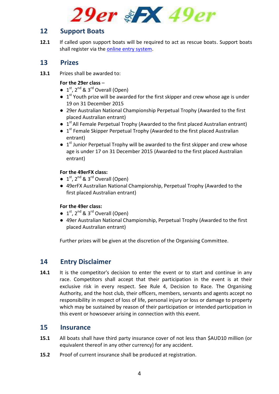

## **12 Support Boats**

**12.1** If called upon support boats will be required to act as rescue boats. Support boats shall register via the [online entry system.](http://www.yachtingaustralia.com.au/event.asp?ID=64871&SP=10014-1048-aus29er&format=popup)

#### **13 Prizes**

**13.1** Prizes shall be awarded to:

#### **For the 29er class** –

- $\bullet$  1<sup>st</sup>, 2<sup>nd</sup> & 3<sup>rd</sup> Overall (Open)
- $\bullet$  1<sup>st</sup> Youth prize will be awarded for the first skipper and crew whose age is under 19 on 31 December 2015
- 29er Australian National Championship Perpetual Trophy (Awarded to the first placed Australian entrant)
- $\bullet$  1<sup>st</sup> All Female Perpetual Trophy (Awarded to the first placed Australian entrant)
- $\bullet$  1<sup>st</sup> Female Skipper Perpetual Trophy (Awarded to the first placed Australian entrant)
- $\bullet$  1<sup>st</sup> Junior Perpetual Trophy will be awarded to the first skipper and crew whose age is under 17 on 31 December 2015 (Awarded to the first placed Australian entrant)

#### **For the 49erFX class:**

- $\bullet$  1<sup>st</sup>, 2<sup>nd</sup> & 3<sup>rd</sup> Overall (Open)
- 49erFX Australian National Championship, Perpetual Trophy (Awarded to the first placed Australian entrant)

#### **For the 49er class:**

- $\bullet$  1<sup>st</sup>, 2<sup>nd</sup> & 3<sup>rd</sup> Overall (Open)
- 49er Australian National Championship, Perpetual Trophy (Awarded to the first placed Australian entrant)

Further prizes will be given at the discretion of the Organising Committee.

# **14 Entry Disclaimer**

**14.1** It is the competitor's decision to enter the event or to start and continue in any race. Competitors shall accept that their participation in the event is at their exclusive risk in every respect. See Rule 4, Decision to Race. The Organising Authority, and the host club, their officers, members, servants and agents accept no responsibility in respect of loss of life, personal injury or loss or damage to property which may be sustained by reason of their participation or intended participation in this event or howsoever arising in connection with this event.

#### **15 Insurance**

- **15.1** All boats shall have third party insurance cover of not less than \$AUD10 million (or equivalent thereof in any other currency) for any accident.
- **15.2** Proof of current insurance shall be produced at registration.